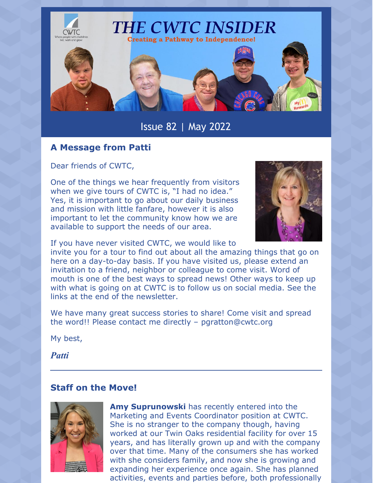

Issue 82 | May 2022

## **A Message from Patti**

Dear friends of CWTC,

One of the things we hear frequently from visitors when we give tours of CWTC is, "I had no idea." Yes, it is important to go about our daily business and mission with little fanfare, however it is also important to let the community know how we are available to support the needs of our area.



If you have never visited CWTC, we would like to

invite you for a tour to find out about all the amazing things that go on here on a day-to-day basis. If you have visited us, please extend an invitation to a friend, neighbor or colleague to come visit. Word of mouth is one of the best ways to spread news! Other ways to keep up with what is going on at CWTC is to follow us on social media. See the links at the end of the newsletter.

We have many great success stories to share! Come visit and spread the word!! Please contact me directly – [pgratton@cwtc.org](mailto:pgratton@cwtc.org)

My best,

*Patti*

## **Staff on the Move!**



**Amy Suprunowski** has recently entered into the Marketing and Events Coordinator position at CWTC. She is no stranger to the company though, having worked at our Twin Oaks residential facility for over 15 years, and has literally grown up and with the company over that time. Many of the consumers she has worked with she considers family, and now she is growing and expanding her experience once again. She has planned activities, events and parties before, both professionally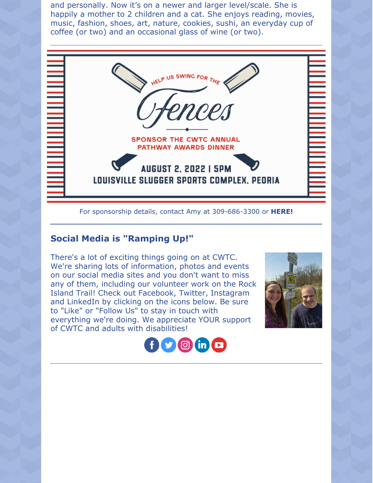and personally. Now it's on a newer and larger level/scale. She is happily a mother to 2 children and a cat. She enjoys reading, movies, music, fashion, shoes, art, nature, cookies, sushi, an everyday cup of coffee (or two) and an occasional glass of wine (or two).



#### For sponsorship details, contact Amy at 309-686-3300 or **[HERE!](mailto:asuprunowski@cwtc.org)**

## **Social Media is "Ramping Up!"**

There's a lot of exciting things going on at CWTC. We're sharing lots of information, photos and events on our social media sites and you don't want to miss any of them, including our volunteer work on the Rock Island Trail! Check out Facebook, Twitter, Instagram and LinkedIn by clicking on the icons below. Be sure to "Like" or "Follow Us" to stay in touch with everything we're doing. We appreciate YOUR support of CWTC and adults with disabilities!